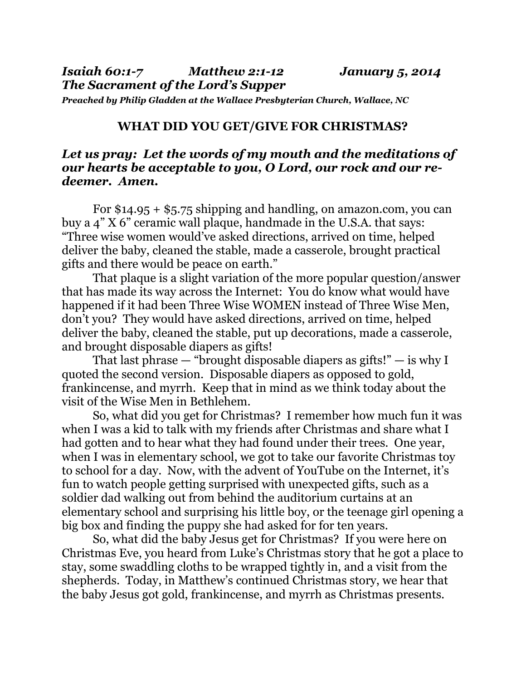*Preached by Philip Gladden at the Wallace Presbyterian Church, Wallace, NC* 

## **WHAT DID YOU GET/GIVE FOR CHRISTMAS?**

## *Let us pray: Let the words of my mouth and the meditations of our hearts be acceptable to you, O Lord, our rock and our redeemer. Amen.*

For  $$14.95 + $5.75$  shipping and handling, on amazon.com, you can buy a 4" X 6" ceramic wall plaque, handmade in the U.S.A. that says: "Three wise women would've asked directions, arrived on time, helped deliver the baby, cleaned the stable, made a casserole, brought practical gifts and there would be peace on earth."

 That plaque is a slight variation of the more popular question/answer that has made its way across the Internet: You do know what would have happened if it had been Three Wise WOMEN instead of Three Wise Men, don't you? They would have asked directions, arrived on time, helped deliver the baby, cleaned the stable, put up decorations, made a casserole, and brought disposable diapers as gifts!

That last phrase  $-$  "brought disposable diapers as gifts!"  $-$  is why I quoted the second version. Disposable diapers as opposed to gold, frankincense, and myrrh. Keep that in mind as we think today about the visit of the Wise Men in Bethlehem.

 So, what did you get for Christmas? I remember how much fun it was when I was a kid to talk with my friends after Christmas and share what I had gotten and to hear what they had found under their trees. One year, when I was in elementary school, we got to take our favorite Christmas toy to school for a day. Now, with the advent of YouTube on the Internet, it's fun to watch people getting surprised with unexpected gifts, such as a soldier dad walking out from behind the auditorium curtains at an elementary school and surprising his little boy, or the teenage girl opening a big box and finding the puppy she had asked for for ten years.

 So, what did the baby Jesus get for Christmas? If you were here on Christmas Eve, you heard from Luke's Christmas story that he got a place to stay, some swaddling cloths to be wrapped tightly in, and a visit from the shepherds. Today, in Matthew's continued Christmas story, we hear that the baby Jesus got gold, frankincense, and myrrh as Christmas presents.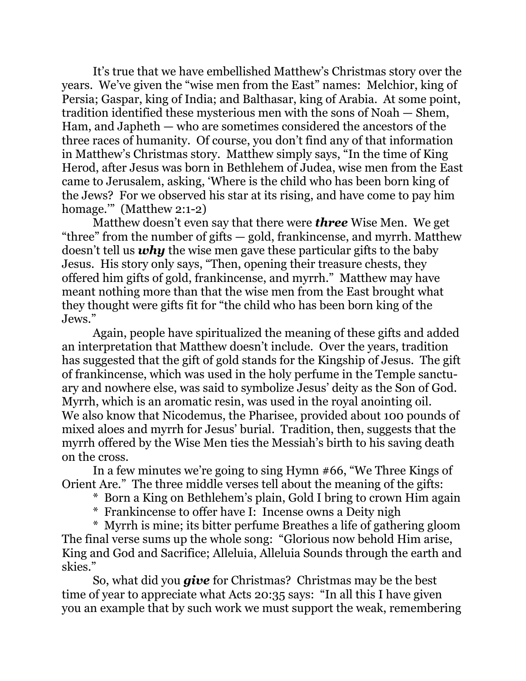It's true that we have embellished Matthew's Christmas story over the years. We've given the "wise men from the East" names: Melchior, king of Persia; Gaspar, king of India; and Balthasar, king of Arabia. At some point, tradition identified these mysterious men with the sons of Noah — Shem, Ham, and Japheth — who are sometimes considered the ancestors of the three races of humanity. Of course, you don't find any of that information in Matthew's Christmas story. Matthew simply says, "In the time of King Herod, after Jesus was born in Bethlehem of Judea, wise men from the East came to Jerusalem, asking, 'Where is the child who has been born king of the Jews? For we observed his star at its rising, and have come to pay him homage."" (Matthew 2:1-2)

 Matthew doesn't even say that there were *three* Wise Men. We get "three" from the number of gifts — gold, frankincense, and myrrh. Matthew doesn't tell us *why* the wise men gave these particular gifts to the baby Jesus. His story only says, "Then, opening their treasure chests, they offered him gifts of gold, frankincense, and myrrh." Matthew may have meant nothing more than that the wise men from the East brought what they thought were gifts fit for "the child who has been born king of the Jews."

 Again, people have spiritualized the meaning of these gifts and added an interpretation that Matthew doesn't include. Over the years, tradition has suggested that the gift of gold stands for the Kingship of Jesus. The gift of frankincense, which was used in the holy perfume in the Temple sanctuary and nowhere else, was said to symbolize Jesus' deity as the Son of God. Myrrh, which is an aromatic resin, was used in the royal anointing oil. We also know that Nicodemus, the Pharisee, provided about 100 pounds of mixed aloes and myrrh for Jesus' burial. Tradition, then, suggests that the myrrh offered by the Wise Men ties the Messiah's birth to his saving death on the cross.

 In a few minutes we're going to sing Hymn #66, "We Three Kings of Orient Are." The three middle verses tell about the meaning of the gifts:

\* Born a King on Bethlehem's plain, Gold I bring to crown Him again

\* Frankincense to offer have I: Incense owns a Deity nigh

 \* Myrrh is mine; its bitter perfume Breathes a life of gathering gloom The final verse sums up the whole song: "Glorious now behold Him arise, King and God and Sacrifice; Alleluia, Alleluia Sounds through the earth and skies."

 So, what did you *give* for Christmas? Christmas may be the best time of year to appreciate what Acts 20:35 says: "In all this I have given you an example that by such work we must support the weak, remembering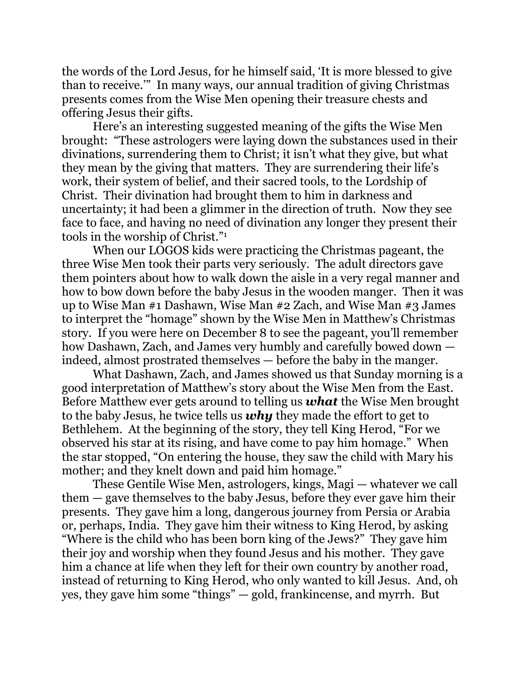the words of the Lord Jesus, for he himself said, 'It is more blessed to give than to receive.'" In many ways, our annual tradition of giving Christmas presents comes from the Wise Men opening their treasure chests and offering Jesus their gifts.

 Here's an interesting suggested meaning of the gifts the Wise Men brought: "These astrologers were laying down the substances used in their divinations, surrendering them to Christ; it isn't what they give, but what they mean by the giving that matters. They are surrendering their life's work, their system of belief, and their sacred tools, to the Lordship of Christ. Their divination had brought them to him in darkness and uncertainty; it had been a glimmer in the direction of truth. Now they see face to face, and having no need of divination any longer they present their tools in the worship of Christ."1

When our LOGOS kids were practicing the Christmas pageant, the three Wise Men took their parts very seriously. The adult directors gave them pointers about how to walk down the aisle in a very regal manner and how to bow down before the baby Jesus in the wooden manger. Then it was up to Wise Man #1 Dashawn, Wise Man #2 Zach, and Wise Man #3 James to interpret the "homage" shown by the Wise Men in Matthew's Christmas story. If you were here on December 8 to see the pageant, you'll remember how Dashawn, Zach, and James very humbly and carefully bowed down indeed, almost prostrated themselves — before the baby in the manger.

 What Dashawn, Zach, and James showed us that Sunday morning is a good interpretation of Matthew's story about the Wise Men from the East. Before Matthew ever gets around to telling us *what* the Wise Men brought to the baby Jesus, he twice tells us *why* they made the effort to get to Bethlehem. At the beginning of the story, they tell King Herod, "For we observed his star at its rising, and have come to pay him homage." When the star stopped, "On entering the house, they saw the child with Mary his mother; and they knelt down and paid him homage."

 These Gentile Wise Men, astrologers, kings, Magi — whatever we call them — gave themselves to the baby Jesus, before they ever gave him their presents. They gave him a long, dangerous journey from Persia or Arabia or, perhaps, India. They gave him their witness to King Herod, by asking "Where is the child who has been born king of the Jews?" They gave him their joy and worship when they found Jesus and his mother. They gave him a chance at life when they left for their own country by another road, instead of returning to King Herod, who only wanted to kill Jesus. And, oh yes, they gave him some "things" — gold, frankincense, and myrrh. But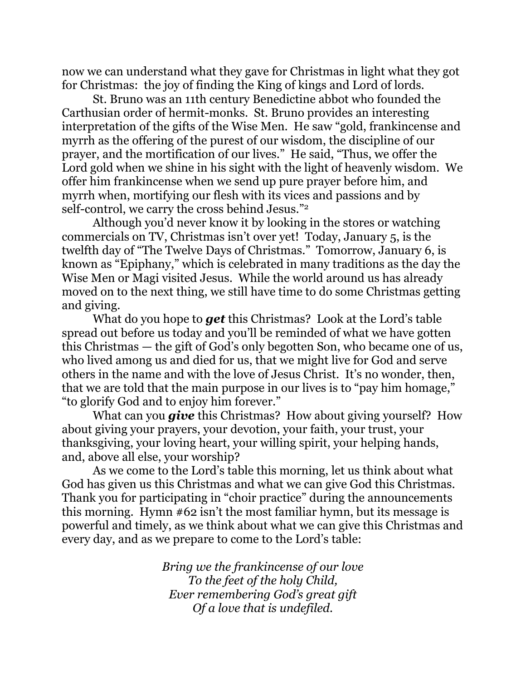now we can understand what they gave for Christmas in light what they got for Christmas: the joy of finding the King of kings and Lord of lords.

 St. Bruno was an 11th century Benedictine abbot who founded the Carthusian order of hermit-monks. St. Bruno provides an interesting interpretation of the gifts of the Wise Men. He saw "gold, frankincense and myrrh as the offering of the purest of our wisdom, the discipline of our prayer, and the mortification of our lives." He said, "Thus, we offer the Lord gold when we shine in his sight with the light of heavenly wisdom. We offer him frankincense when we send up pure prayer before him, and myrrh when, mortifying our flesh with its vices and passions and by self-control, we carry the cross behind Jesus."2

Although you'd never know it by looking in the stores or watching commercials on TV, Christmas isn't over yet! Today, January 5, is the twelfth day of "The Twelve Days of Christmas." Tomorrow, January 6, is known as "Epiphany," which is celebrated in many traditions as the day the Wise Men or Magi visited Jesus. While the world around us has already moved on to the next thing, we still have time to do some Christmas getting and giving.

 What do you hope to *get* this Christmas? Look at the Lord's table spread out before us today and you'll be reminded of what we have gotten this Christmas — the gift of God's only begotten Son, who became one of us, who lived among us and died for us, that we might live for God and serve others in the name and with the love of Jesus Christ. It's no wonder, then, that we are told that the main purpose in our lives is to "pay him homage," "to glorify God and to enjoy him forever."

 What can you *give* this Christmas? How about giving yourself? How about giving your prayers, your devotion, your faith, your trust, your thanksgiving, your loving heart, your willing spirit, your helping hands, and, above all else, your worship?

 As we come to the Lord's table this morning, let us think about what God has given us this Christmas and what we can give God this Christmas. Thank you for participating in "choir practice" during the announcements this morning. Hymn #62 isn't the most familiar hymn, but its message is powerful and timely, as we think about what we can give this Christmas and every day, and as we prepare to come to the Lord's table:

> *Bring we the frankincense of our love To the feet of the holy Child, Ever remembering God's great gift Of a love that is undefiled.*